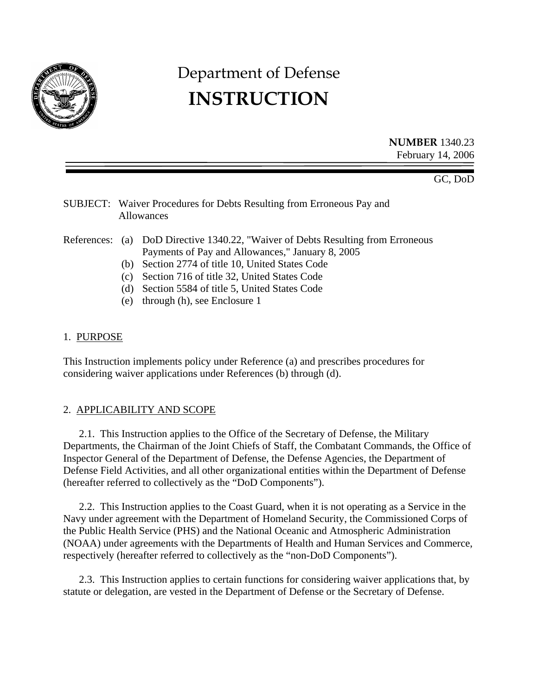

# Department of Defense **INSTRUCTION**

**NUMBER** 1340.23 February 14, 2006

GC, DoD

## SUBJECT: Waiver Procedures for Debts Resulting from Erroneous Pay and Allowances

#### References: (a) DoD Directive 1340.22, "Waiver of Debts Resulting from Erroneous Payments of Pay and Allowances," January 8, 2005

- (b) Section 2774 of title 10, United States Code
- (c) Section 716 of title 32, United States Code
- (d) Section 5584 of title 5, United States Code
- (e) through (h), see Enclosure 1

## 1. PURPOSE

This Instruction implements policy under Reference (a) and prescribes procedures for considering waiver applications under References (b) through (d).

# 2. APPLICABILITY AND SCOPE

 2.1. This Instruction applies to the Office of the Secretary of Defense, the Military Departments, the Chairman of the Joint Chiefs of Staff, the Combatant Commands, the Office of Inspector General of the Department of Defense, the Defense Agencies, the Department of Defense Field Activities, and all other organizational entities within the Department of Defense (hereafter referred to collectively as the "DoD Components").

 2.2. This Instruction applies to the Coast Guard, when it is not operating as a Service in the Navy under agreement with the Department of Homeland Security, the Commissioned Corps of the Public Health Service (PHS) and the National Oceanic and Atmospheric Administration (NOAA) under agreements with the Departments of Health and Human Services and Commerce, respectively (hereafter referred to collectively as the "non-DoD Components").

 2.3. This Instruction applies to certain functions for considering waiver applications that, by statute or delegation, are vested in the Department of Defense or the Secretary of Defense.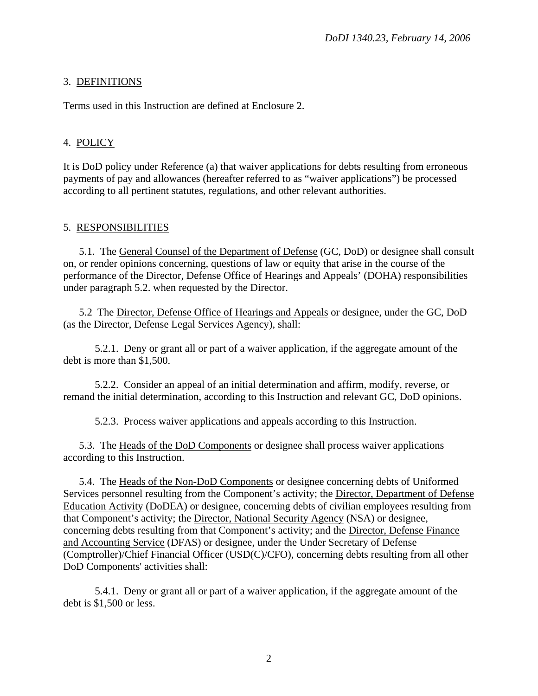## 3. DEFINITIONS

Terms used in this Instruction are defined at Enclosure 2.

## 4. POLICY

It is DoD policy under Reference (a) that waiver applications for debts resulting from erroneous payments of pay and allowances (hereafter referred to as "waiver applications") be processed according to all pertinent statutes, regulations, and other relevant authorities.

## 5. RESPONSIBILITIES

 5.1. The General Counsel of the Department of Defense (GC, DoD) or designee shall consult on, or render opinions concerning, questions of law or equity that arise in the course of the performance of the Director, Defense Office of Hearings and Appeals' (DOHA) responsibilities under paragraph 5.2. when requested by the Director.

 5.2 The Director, Defense Office of Hearings and Appeals or designee, under the GC, DoD (as the Director, Defense Legal Services Agency), shall:

 5.2.1. Deny or grant all or part of a waiver application, if the aggregate amount of the debt is more than \$1,500.

 5.2.2. Consider an appeal of an initial determination and affirm, modify, reverse, or remand the initial determination, according to this Instruction and relevant GC, DoD opinions.

5.2.3. Process waiver applications and appeals according to this Instruction.

 5.3. The Heads of the DoD Components or designee shall process waiver applications according to this Instruction.

 5.4. The Heads of the Non-DoD Components or designee concerning debts of Uniformed Services personnel resulting from the Component's activity; the Director, Department of Defense Education Activity (DoDEA) or designee, concerning debts of civilian employees resulting from that Component's activity; the Director, National Security Agency (NSA) or designee, concerning debts resulting from that Component's activity; and the Director, Defense Finance and Accounting Service (DFAS) or designee, under the Under Secretary of Defense (Comptroller)/Chief Financial Officer (USD(C)/CFO), concerning debts resulting from all other DoD Components' activities shall:

 5.4.1. Deny or grant all or part of a waiver application, if the aggregate amount of the debt is \$1,500 or less.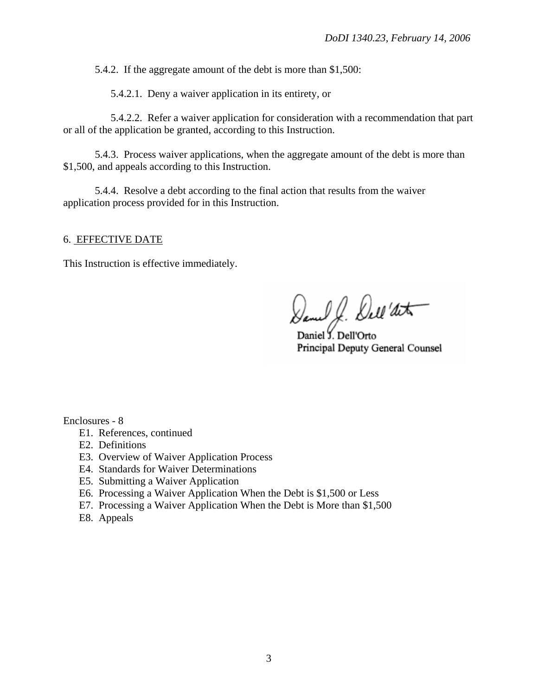5.4.2. If the aggregate amount of the debt is more than \$1,500:

5.4.2.1. Deny a waiver application in its entirety, or

 5.4.2.2. Refer a waiver application for consideration with a recommendation that part or all of the application be granted, according to this Instruction.

 5.4.3. Process waiver applications, when the aggregate amount of the debt is more than \$1,500, and appeals according to this Instruction.

 5.4.4. Resolve a debt according to the final action that results from the waiver application process provided for in this Instruction.

#### 6. EFFECTIVE DATE

This Instruction is effective immediately.

Daniel J. Dell'art

Daniel Y. Dell'Orto Principal Deputy General Counsel

Enclosures - 8

- E1. References, continued
- E2. Definitions
- E3. Overview of Waiver Application Process
- E4. Standards for Waiver Determinations
- E5. Submitting a Waiver Application
- E6. Processing a Waiver Application When the Debt is \$1,500 or Less
- E7. Processing a Waiver Application When the Debt is More than \$1,500
- E8. Appeals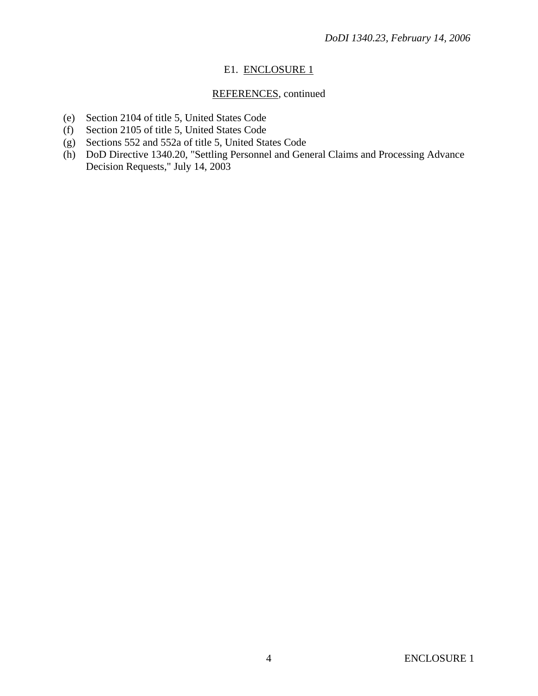## E1. ENCLOSURE 1

## REFERENCES, continued

- (e) Section 2104 of title 5, United States Code
- (f) Section 2105 of title 5, United States Code
- (g) Sections 552 and 552a of title 5, United States Code
- (h) DoD Directive 1340.20, "Settling Personnel and General Claims and Processing Advance Decision Requests," July 14, 2003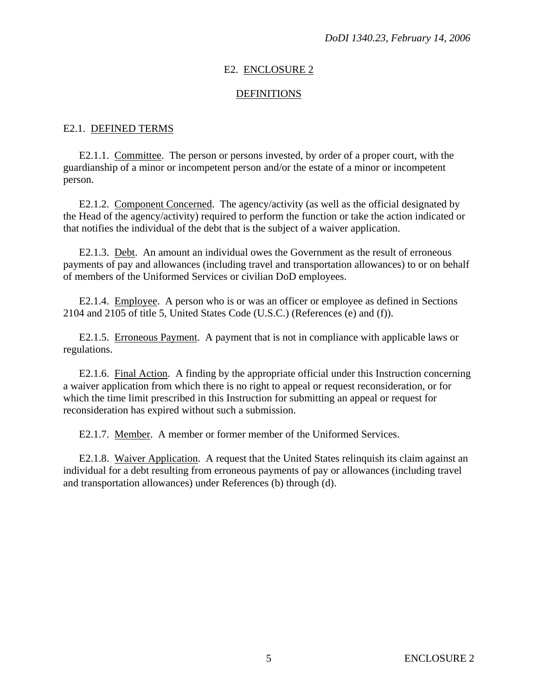#### E2. ENCLOSURE 2

#### DEFINITIONS

#### E2.1. DEFINED TERMS

 E2.1.1. Committee. The person or persons invested, by order of a proper court, with the guardianship of a minor or incompetent person and/or the estate of a minor or incompetent person.

 E2.1.2. Component Concerned. The agency/activity (as well as the official designated by the Head of the agency/activity) required to perform the function or take the action indicated or that notifies the individual of the debt that is the subject of a waiver application.

 E2.1.3. Debt. An amount an individual owes the Government as the result of erroneous payments of pay and allowances (including travel and transportation allowances) to or on behalf of members of the Uniformed Services or civilian DoD employees.

 E2.1.4. Employee. A person who is or was an officer or employee as defined in Sections 2104 and 2105 of title 5, United States Code (U.S.C.) (References (e) and (f)).

 E2.1.5. Erroneous Payment. A payment that is not in compliance with applicable laws or regulations.

 E2.1.6. Final Action. A finding by the appropriate official under this Instruction concerning a waiver application from which there is no right to appeal or request reconsideration, or for which the time limit prescribed in this Instruction for submitting an appeal or request for reconsideration has expired without such a submission.

E2.1.7. Member. A member or former member of the Uniformed Services.

 E2.1.8. Waiver Application. A request that the United States relinquish its claim against an individual for a debt resulting from erroneous payments of pay or allowances (including travel and transportation allowances) under References (b) through (d).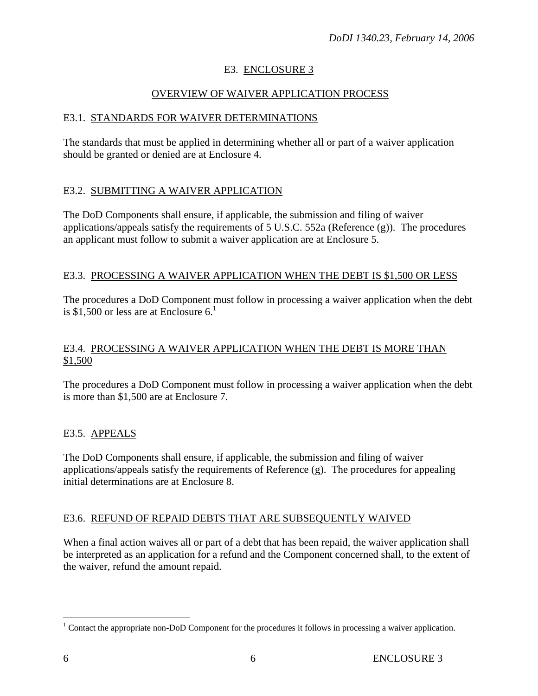# E3. ENCLOSURE 3

## OVERVIEW OF WAIVER APPLICATION PROCESS

## E3.1.STANDARDS FOR WAIVER DETERMINATIONS

The standards that must be applied in determining whether all or part of a waiver application should be granted or denied are at Enclosure 4.

## E3.2. SUBMITTING A WAIVER APPLICATION

The DoD Components shall ensure, if applicable, the submission and filing of waiver applications/appeals satisfy the requirements of 5 U.S.C. 552a (Reference (g)). The procedures an applicant must follow to submit a waiver application are at Enclosure 5.

#### E3.3. PROCESSING A WAIVER APPLICATION WHEN THE DEBT IS \$1,500 OR LESS

The procedures a DoD Component must follow in processing a waiver application when the debt is \$1,500 or less are at Enclosure  $6<sup>1</sup>$ .

## E3.4. PROCESSING A WAIVER APPLICATION WHEN THE DEBT IS MORE THAN \$1,500

The procedures a DoD Component must follow in processing a waiver application when the debt is more than \$1,500 are at Enclosure 7.

## E3.5. APPEALS

The DoD Components shall ensure, if applicable, the submission and filing of waiver applications/appeals satisfy the requirements of Reference (g). The procedures for appealing initial determinations are at Enclosure 8.

## E3.6. REFUND OF REPAID DEBTS THAT ARE SUBSEQUENTLY WAIVED

When a final action waives all or part of a debt that has been repaid, the waiver application shall be interpreted as an application for a refund and the Component concerned shall, to the extent of the waiver, refund the amount repaid.

<u>.</u>

<sup>&</sup>lt;sup>1</sup> Contact the appropriate non-DoD Component for the procedures it follows in processing a waiver application.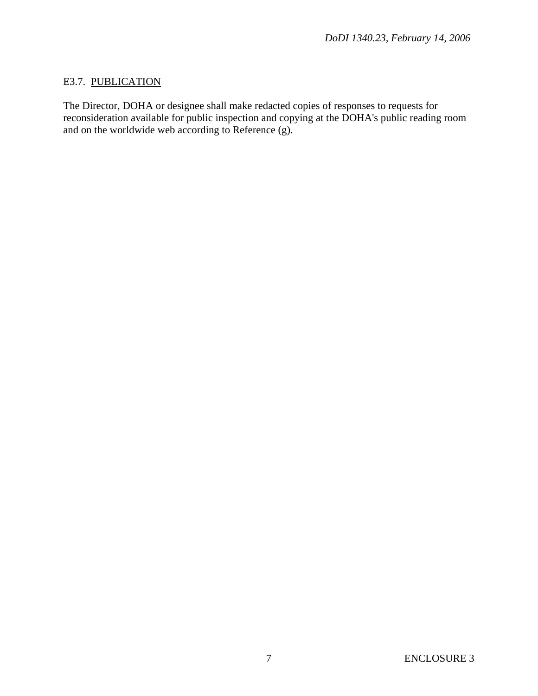## E3.7. PUBLICATION

The Director, DOHA or designee shall make redacted copies of responses to requests for reconsideration available for public inspection and copying at the DOHA's public reading room and on the worldwide web according to Reference (g).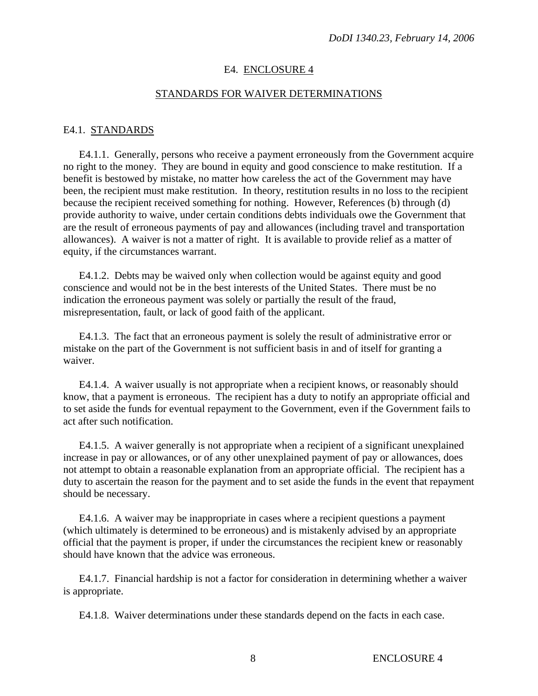#### E4. ENCLOSURE 4

#### STANDARDS FOR WAIVER DETERMINATIONS

#### E4.1. STANDARDS

 E4.1.1.Generally, persons who receive a payment erroneously from the Government acquire no right to the money. They are bound in equity and good conscience to make restitution. If a benefit is bestowed by mistake, no matter how careless the act of the Government may have been, the recipient must make restitution. In theory, restitution results in no loss to the recipient because the recipient received something for nothing. However, References (b) through (d) provide authority to waive, under certain conditions debts individuals owe the Government that are the result of erroneous payments of pay and allowances (including travel and transportation allowances). A waiver is not a matter of right. It is available to provide relief as a matter of equity, if the circumstances warrant.

 E4.1.2. Debts may be waived only when collection would be against equity and good conscience and would not be in the best interests of the United States. There must be no indication the erroneous payment was solely or partially the result of the fraud, misrepresentation, fault, or lack of good faith of the applicant.

 E4.1.3. The fact that an erroneous payment is solely the result of administrative error or mistake on the part of the Government is not sufficient basis in and of itself for granting a waiver.

 E4.1.4. A waiver usually is not appropriate when a recipient knows, or reasonably should know, that a payment is erroneous. The recipient has a duty to notify an appropriate official and to set aside the funds for eventual repayment to the Government, even if the Government fails to act after such notification.

 E4.1.5. A waiver generally is not appropriate when a recipient of a significant unexplained increase in pay or allowances, or of any other unexplained payment of pay or allowances, does not attempt to obtain a reasonable explanation from an appropriate official. The recipient has a duty to ascertain the reason for the payment and to set aside the funds in the event that repayment should be necessary.

 E4.1.6. A waiver may be inappropriate in cases where a recipient questions a payment (which ultimately is determined to be erroneous) and is mistakenly advised by an appropriate official that the payment is proper, if under the circumstances the recipient knew or reasonably should have known that the advice was erroneous.

 E4.1.7. Financial hardship is not a factor for consideration in determining whether a waiver is appropriate.

E4.1.8. Waiver determinations under these standards depend on the facts in each case.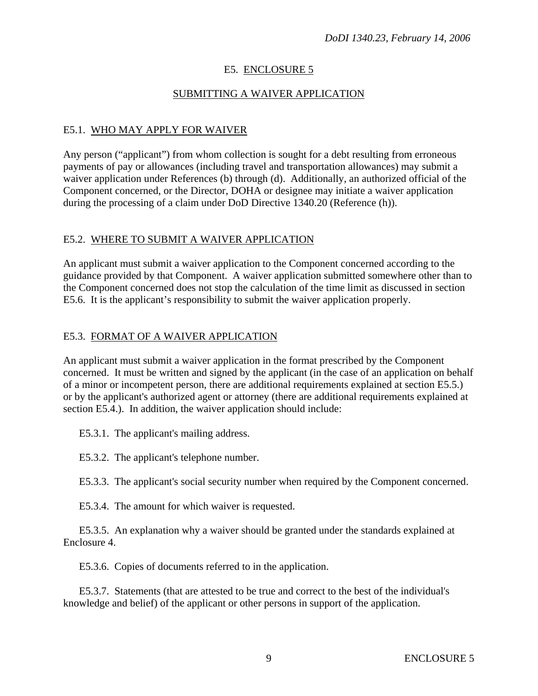## E5. ENCLOSURE 5

## SUBMITTING A WAIVER APPLICATION

## E5.1. WHO MAY APPLY FOR WAIVER

Any person ("applicant") from whom collection is sought for a debt resulting from erroneous payments of pay or allowances (including travel and transportation allowances) may submit a waiver application under References (b) through (d). Additionally, an authorized official of the Component concerned, or the Director, DOHA or designee may initiate a waiver application during the processing of a claim under DoD Directive 1340.20 (Reference (h)).

#### E5.2. WHERE TO SUBMIT A WAIVER APPLICATION

An applicant must submit a waiver application to the Component concerned according to the guidance provided by that Component. A waiver application submitted somewhere other than to the Component concerned does not stop the calculation of the time limit as discussed in section E5.6. It is the applicant's responsibility to submit the waiver application properly.

#### E5.3. FORMAT OF A WAIVER APPLICATION

An applicant must submit a waiver application in the format prescribed by the Component concerned. It must be written and signed by the applicant (in the case of an application on behalf of a minor or incompetent person, there are additional requirements explained at section E5.5.) or by the applicant's authorized agent or attorney (there are additional requirements explained at section E5.4.). In addition, the waiver application should include:

E5.3.1. The applicant's mailing address.

E5.3.2. The applicant's telephone number.

E5.3.3. The applicant's social security number when required by the Component concerned.

E5.3.4. The amount for which waiver is requested.

 E5.3.5. An explanation why a waiver should be granted under the standards explained at Enclosure 4.

E5.3.6. Copies of documents referred to in the application.

 E5.3.7. Statements (that are attested to be true and correct to the best of the individual's knowledge and belief) of the applicant or other persons in support of the application.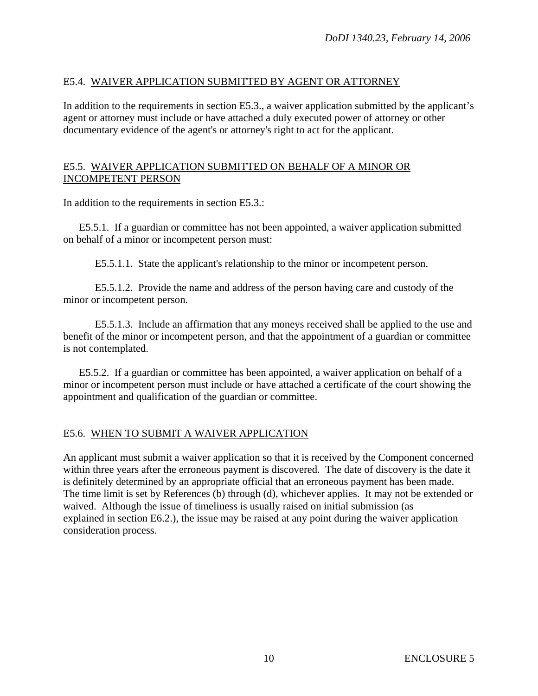## E5.4. WAIVER APPLICATION SUBMITTED BY AGENT OR ATTORNEY

In addition to the requirements in section E5.3., a waiver application submitted by the applicant's agent or attorney must include or have attached a duly executed power of attorney or other documentary evidence of the agent's or attorney's right to act for the applicant.

## E5.5. WAIVER APPLICATION SUBMITTED ON BEHALF OF A MINOR OR INCOMPETENT PERSON

In addition to the requirements in section E5.3.:

 E5.5.1. If a guardian or committee has not been appointed, a waiver application submitted on behalf of a minor or incompetent person must:

E5.5.1.1. State the applicant's relationship to the minor or incompetent person.

 E5.5.1.2. Provide the name and address of the person having care and custody of the minor or incompetent person.

 E5.5.1.3. Include an affirmation that any moneys received shall be applied to the use and benefit of the minor or incompetent person, and that the appointment of a guardian or committee is not contemplated.

 E5.5.2. If a guardian or committee has been appointed, a waiver application on behalf of a minor or incompetent person must include or have attached a certificate of the court showing the appointment and qualification of the guardian or committee.

## E5.6. WHEN TO SUBMIT A WAIVER APPLICATION

An applicant must submit a waiver application so that it is received by the Component concerned within three years after the erroneous payment is discovered. The date of discovery is the date it is definitely determined by an appropriate official that an erroneous payment has been made. The time limit is set by References (b) through (d), whichever applies. It may not be extended or waived. Although the issue of timeliness is usually raised on initial submission (as explained in section E6.2.), the issue may be raised at any point during the waiver application consideration process.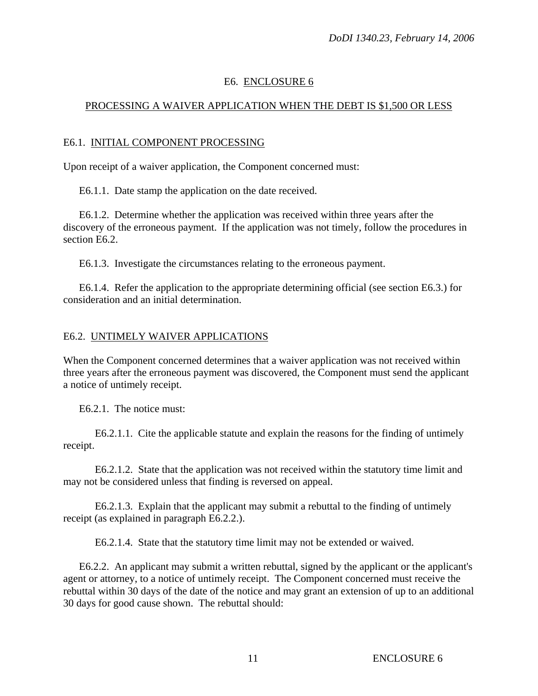## E6. ENCLOSURE 6

## PROCESSING A WAIVER APPLICATION WHEN THE DEBT IS \$1,500 OR LESS

## E6.1. INITIAL COMPONENT PROCESSING

Upon receipt of a waiver application, the Component concerned must:

E6.1.1. Date stamp the application on the date received.

 E6.1.2. Determine whether the application was received within three years after the discovery of the erroneous payment. If the application was not timely, follow the procedures in section E6.2.

E6.1.3. Investigate the circumstances relating to the erroneous payment.

 E6.1.4. Refer the application to the appropriate determining official (see section E6.3.) for consideration and an initial determination.

#### E6.2. UNTIMELY WAIVER APPLICATIONS

When the Component concerned determines that a waiver application was not received within three years after the erroneous payment was discovered, the Component must send the applicant a notice of untimely receipt.

E6.2.1. The notice must:

 E6.2.1.1. Cite the applicable statute and explain the reasons for the finding of untimely receipt.

 E6.2.1.2. State that the application was not received within the statutory time limit and may not be considered unless that finding is reversed on appeal.

 E6.2.1.3. Explain that the applicant may submit a rebuttal to the finding of untimely receipt (as explained in paragraph E6.2.2.).

E6.2.1.4. State that the statutory time limit may not be extended or waived.

 E6.2.2. An applicant may submit a written rebuttal, signed by the applicant or the applicant's agent or attorney, to a notice of untimely receipt. The Component concerned must receive the rebuttal within 30 days of the date of the notice and may grant an extension of up to an additional 30 days for good cause shown. The rebuttal should: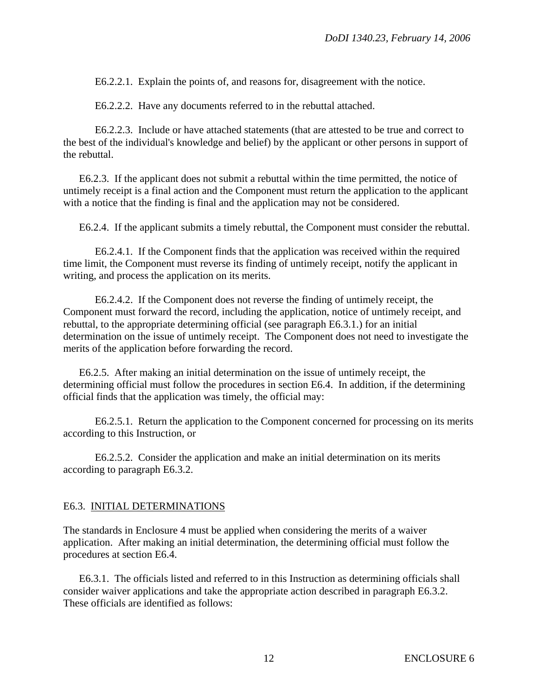E6.2.2.1. Explain the points of, and reasons for, disagreement with the notice.

E6.2.2.2. Have any documents referred to in the rebuttal attached.

 E6.2.2.3. Include or have attached statements (that are attested to be true and correct to the best of the individual's knowledge and belief) by the applicant or other persons in support of the rebuttal.

 E6.2.3. If the applicant does not submit a rebuttal within the time permitted, the notice of untimely receipt is a final action and the Component must return the application to the applicant with a notice that the finding is final and the application may not be considered.

E6.2.4. If the applicant submits a timely rebuttal, the Component must consider the rebuttal.

 E6.2.4.1. If the Component finds that the application was received within the required time limit, the Component must reverse its finding of untimely receipt, notify the applicant in writing, and process the application on its merits.

 E6.2.4.2. If the Component does not reverse the finding of untimely receipt, the Component must forward the record, including the application, notice of untimely receipt, and rebuttal, to the appropriate determining official (see paragraph E6.3.1.) for an initial determination on the issue of untimely receipt. The Component does not need to investigate the merits of the application before forwarding the record.

 E6.2.5. After making an initial determination on the issue of untimely receipt, the determining official must follow the procedures in section E6.4. In addition, if the determining official finds that the application was timely, the official may:

 E6.2.5.1. Return the application to the Component concerned for processing on its merits according to this Instruction, or

 E6.2.5.2. Consider the application and make an initial determination on its merits according to paragraph E6.3.2.

#### E6.3. INITIAL DETERMINATIONS

The standards in Enclosure 4 must be applied when considering the merits of a waiver application. After making an initial determination, the determining official must follow the procedures at section E6.4.

 E6.3.1. The officials listed and referred to in this Instruction as determining officials shall consider waiver applications and take the appropriate action described in paragraph E6.3.2. These officials are identified as follows: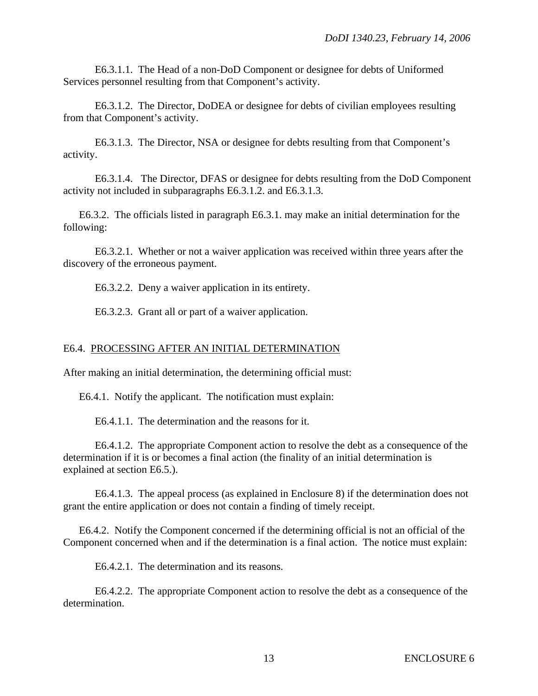E6.3.1.1. The Head of a non-DoD Component or designee for debts of Uniformed Services personnel resulting from that Component's activity.

 E6.3.1.2. The Director, DoDEA or designee for debts of civilian employees resulting from that Component's activity.

 E6.3.1.3. The Director, NSA or designee for debts resulting from that Component's activity.

 E6.3.1.4. The Director, DFAS or designee for debts resulting from the DoD Component activity not included in subparagraphs E6.3.1.2. and E6.3.1.3.

 E6.3.2. The officials listed in paragraph E6.3.1. may make an initial determination for the following:

 E6.3.2.1. Whether or not a waiver application was received within three years after the discovery of the erroneous payment.

E6.3.2.2. Deny a waiver application in its entirety.

E6.3.2.3. Grant all or part of a waiver application.

## E6.4. PROCESSING AFTER AN INITIAL DETERMINATION

After making an initial determination, the determining official must:

E6.4.1. Notify the applicant. The notification must explain:

E6.4.1.1. The determination and the reasons for it.

 E6.4.1.2. The appropriate Component action to resolve the debt as a consequence of the determination if it is or becomes a final action (the finality of an initial determination is explained at section E6.5.).

 E6.4.1.3. The appeal process (as explained in Enclosure 8) if the determination does not grant the entire application or does not contain a finding of timely receipt.

 E6.4.2. Notify the Component concerned if the determining official is not an official of the Component concerned when and if the determination is a final action. The notice must explain:

E6.4.2.1. The determination and its reasons.

 E6.4.2.2. The appropriate Component action to resolve the debt as a consequence of the determination.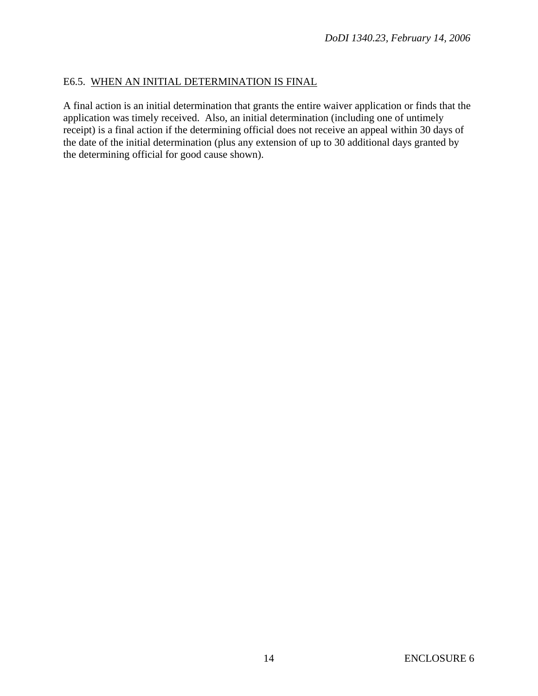## E6.5. WHEN AN INITIAL DETERMINATION IS FINAL

A final action is an initial determination that grants the entire waiver application or finds that the application was timely received. Also, an initial determination (including one of untimely receipt) is a final action if the determining official does not receive an appeal within 30 days of the date of the initial determination (plus any extension of up to 30 additional days granted by the determining official for good cause shown).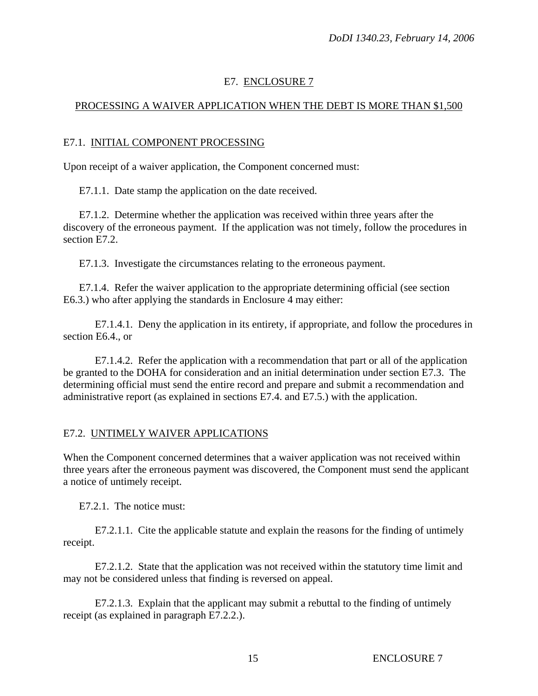## E7. ENCLOSURE 7

## PROCESSING A WAIVER APPLICATION WHEN THE DEBT IS MORE THAN \$1,500

#### E7.1. INITIAL COMPONENT PROCESSING

Upon receipt of a waiver application, the Component concerned must:

E7.1.1. Date stamp the application on the date received.

 E7.1.2. Determine whether the application was received within three years after the discovery of the erroneous payment. If the application was not timely, follow the procedures in section E7.2.

E7.1.3. Investigate the circumstances relating to the erroneous payment.

 E7.1.4. Refer the waiver application to the appropriate determining official (see section E6.3.) who after applying the standards in Enclosure 4 may either:

 E7.1.4.1. Deny the application in its entirety, if appropriate, and follow the procedures in section E6.4., or

 E7.1.4.2. Refer the application with a recommendation that part or all of the application be granted to the DOHA for consideration and an initial determination under section E7.3. The determining official must send the entire record and prepare and submit a recommendation and administrative report (as explained in sections E7.4. and E7.5.) with the application.

#### E7.2. UNTIMELY WAIVER APPLICATIONS

When the Component concerned determines that a waiver application was not received within three years after the erroneous payment was discovered, the Component must send the applicant a notice of untimely receipt.

E7.2.1. The notice must:

 E7.2.1.1. Cite the applicable statute and explain the reasons for the finding of untimely receipt.

 E7.2.1.2. State that the application was not received within the statutory time limit and may not be considered unless that finding is reversed on appeal.

 E7.2.1.3. Explain that the applicant may submit a rebuttal to the finding of untimely receipt (as explained in paragraph E7.2.2.).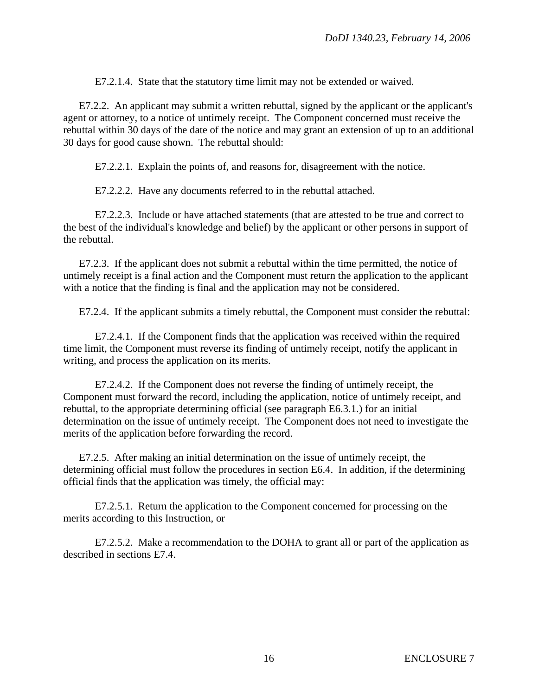E7.2.1.4. State that the statutory time limit may not be extended or waived.

E7.2.2. An applicant may submit a written rebuttal, signed by the applicant or the applicant's agent or attorney, to a notice of untimely receipt. The Component concerned must receive the rebuttal within 30 days of the date of the notice and may grant an extension of up to an additional 30 days for good cause shown. The rebuttal should:

E7.2.2.1. Explain the points of, and reasons for, disagreement with the notice.

E7.2.2.2. Have any documents referred to in the rebuttal attached.

 E7.2.2.3. Include or have attached statements (that are attested to be true and correct to the best of the individual's knowledge and belief) by the applicant or other persons in support of the rebuttal.

 E7.2.3. If the applicant does not submit a rebuttal within the time permitted, the notice of untimely receipt is a final action and the Component must return the application to the applicant with a notice that the finding is final and the application may not be considered.

E7.2.4. If the applicant submits a timely rebuttal, the Component must consider the rebuttal:

 E7.2.4.1. If the Component finds that the application was received within the required time limit, the Component must reverse its finding of untimely receipt, notify the applicant in writing, and process the application on its merits.

 E7.2.4.2. If the Component does not reverse the finding of untimely receipt, the Component must forward the record, including the application, notice of untimely receipt, and rebuttal, to the appropriate determining official (see paragraph E6.3.1.) for an initial determination on the issue of untimely receipt. The Component does not need to investigate the merits of the application before forwarding the record.

 E7.2.5. After making an initial determination on the issue of untimely receipt, the determining official must follow the procedures in section E6.4. In addition, if the determining official finds that the application was timely, the official may:

 E7.2.5.1. Return the application to the Component concerned for processing on the merits according to this Instruction, or

 E7.2.5.2. Make a recommendation to the DOHA to grant all or part of the application as described in sections E7.4.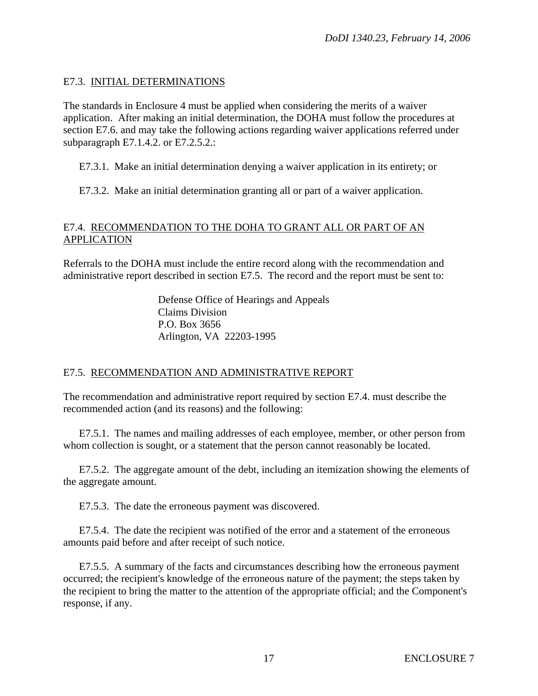## E7.3. INITIAL DETERMINATIONS

The standards in Enclosure 4 must be applied when considering the merits of a waiver application. After making an initial determination, the DOHA must follow the procedures at section E7.6. and may take the following actions regarding waiver applications referred under subparagraph E7.1.4.2. or E7.2.5.2.:

E7.3.1. Make an initial determination denying a waiver application in its entirety; or

E7.3.2. Make an initial determination granting all or part of a waiver application.

## E7.4. RECOMMENDATION TO THE DOHA TO GRANT ALL OR PART OF AN APPLICATION

Referrals to the DOHA must include the entire record along with the recommendation and administrative report described in section E7.5. The record and the report must be sent to:

> Defense Office of Hearings and Appeals Claims Division P.O. Box 3656 Arlington, VA 22203-1995

## E7.5. RECOMMENDATION AND ADMINISTRATIVE REPORT

The recommendation and administrative report required by section E7.4. must describe the recommended action (and its reasons) and the following:

 E7.5.1. The names and mailing addresses of each employee, member, or other person from whom collection is sought, or a statement that the person cannot reasonably be located.

 E7.5.2. The aggregate amount of the debt, including an itemization showing the elements of the aggregate amount.

E7.5.3. The date the erroneous payment was discovered.

 E7.5.4. The date the recipient was notified of the error and a statement of the erroneous amounts paid before and after receipt of such notice.

 E7.5.5. A summary of the facts and circumstances describing how the erroneous payment occurred; the recipient's knowledge of the erroneous nature of the payment; the steps taken by the recipient to bring the matter to the attention of the appropriate official; and the Component's response, if any.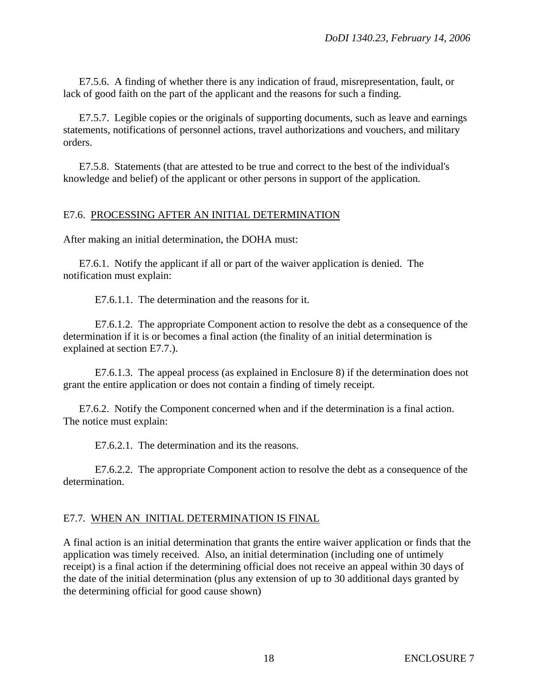E7.5.6. A finding of whether there is any indication of fraud, misrepresentation, fault, or lack of good faith on the part of the applicant and the reasons for such a finding.

 E7.5.7. Legible copies or the originals of supporting documents, such as leave and earnings statements, notifications of personnel actions, travel authorizations and vouchers, and military orders.

 E7.5.8. Statements (that are attested to be true and correct to the best of the individual's knowledge and belief) of the applicant or other persons in support of the application.

#### E7.6. PROCESSING AFTER AN INITIAL DETERMINATION

After making an initial determination, the DOHA must:

 E7.6.1. Notify the applicant if all or part of the waiver application is denied. The notification must explain:

E7.6.1.1. The determination and the reasons for it.

 E7.6.1.2. The appropriate Component action to resolve the debt as a consequence of the determination if it is or becomes a final action (the finality of an initial determination is explained at section E7.7.).

 E7.6.1.3. The appeal process (as explained in Enclosure 8) if the determination does not grant the entire application or does not contain a finding of timely receipt.

 E7.6.2. Notify the Component concerned when and if the determination is a final action. The notice must explain:

E7.6.2.1. The determination and its the reasons.

 E7.6.2.2. The appropriate Component action to resolve the debt as a consequence of the determination.

#### E7.7. WHEN AN INITIAL DETERMINATION IS FINAL

A final action is an initial determination that grants the entire waiver application or finds that the application was timely received. Also, an initial determination (including one of untimely receipt) is a final action if the determining official does not receive an appeal within 30 days of the date of the initial determination (plus any extension of up to 30 additional days granted by the determining official for good cause shown)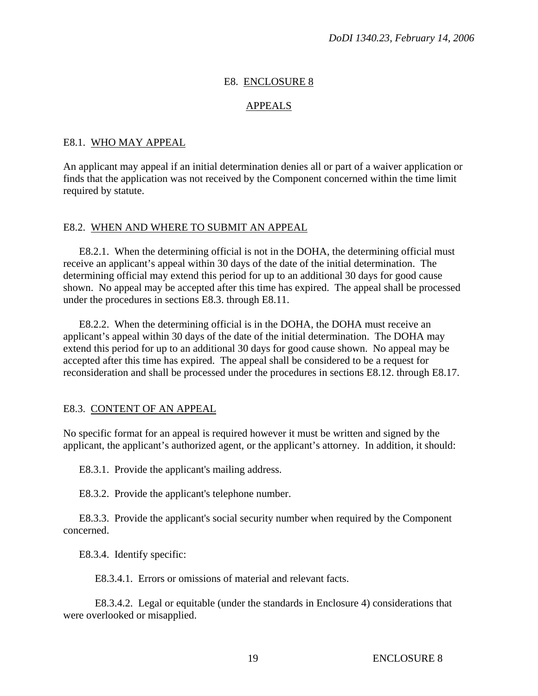#### E8. ENCLOSURE 8

#### APPEALS

#### E8.1. WHO MAY APPEAL

An applicant may appeal if an initial determination denies all or part of a waiver application or finds that the application was not received by the Component concerned within the time limit required by statute.

#### E8.2. WHEN AND WHERE TO SUBMIT AN APPEAL

 E8.2.1. When the determining official is not in the DOHA, the determining official must receive an applicant's appeal within 30 days of the date of the initial determination. The determining official may extend this period for up to an additional 30 days for good cause shown. No appeal may be accepted after this time has expired. The appeal shall be processed under the procedures in sections E8.3. through E8.11.

 E8.2.2. When the determining official is in the DOHA, the DOHA must receive an applicant's appeal within 30 days of the date of the initial determination. The DOHA may extend this period for up to an additional 30 days for good cause shown. No appeal may be accepted after this time has expired. The appeal shall be considered to be a request for reconsideration and shall be processed under the procedures in sections E8.12. through E8.17.

#### E8.3. CONTENT OF AN APPEAL

No specific format for an appeal is required however it must be written and signed by the applicant, the applicant's authorized agent, or the applicant's attorney. In addition, it should:

E8.3.1. Provide the applicant's mailing address.

E8.3.2. Provide the applicant's telephone number.

 E8.3.3. Provide the applicant's social security number when required by the Component concerned.

E8.3.4. Identify specific:

E8.3.4.1. Errors or omissions of material and relevant facts.

 E8.3.4.2. Legal or equitable (under the standards in Enclosure 4) considerations that were overlooked or misapplied.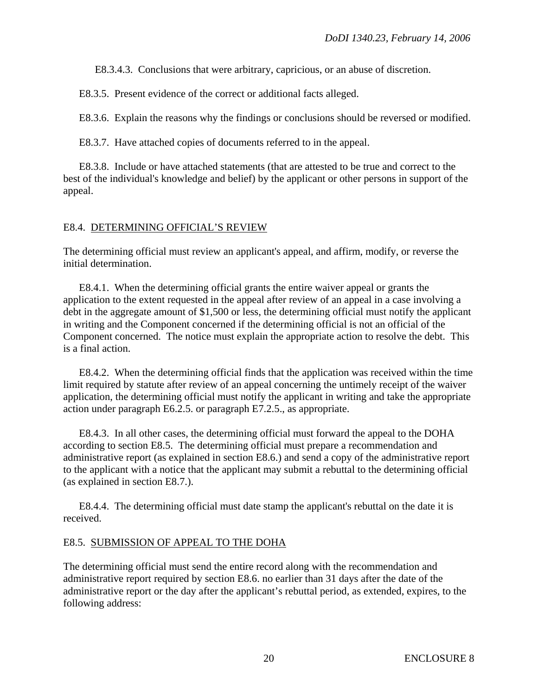E8.3.4.3. Conclusions that were arbitrary, capricious, or an abuse of discretion.

E8.3.5. Present evidence of the correct or additional facts alleged.

E8.3.6. Explain the reasons why the findings or conclusions should be reversed or modified.

E8.3.7. Have attached copies of documents referred to in the appeal.

 E8.3.8. Include or have attached statements (that are attested to be true and correct to the best of the individual's knowledge and belief) by the applicant or other persons in support of the appeal.

## E8.4. DETERMINING OFFICIAL'S REVIEW

The determining official must review an applicant's appeal, and affirm, modify, or reverse the initial determination.

 E8.4.1. When the determining official grants the entire waiver appeal or grants the application to the extent requested in the appeal after review of an appeal in a case involving a debt in the aggregate amount of \$1,500 or less, the determining official must notify the applicant in writing and the Component concerned if the determining official is not an official of the Component concerned. The notice must explain the appropriate action to resolve the debt. This is a final action.

 E8.4.2. When the determining official finds that the application was received within the time limit required by statute after review of an appeal concerning the untimely receipt of the waiver application, the determining official must notify the applicant in writing and take the appropriate action under paragraph E6.2.5. or paragraph E7.2.5., as appropriate.

 E8.4.3. In all other cases, the determining official must forward the appeal to the DOHA according to section E8.5. The determining official must prepare a recommendation and administrative report (as explained in section E8.6.) and send a copy of the administrative report to the applicant with a notice that the applicant may submit a rebuttal to the determining official (as explained in section E8.7.).

 E8.4.4. The determining official must date stamp the applicant's rebuttal on the date it is received.

## E8.5. SUBMISSION OF APPEAL TO THE DOHA

The determining official must send the entire record along with the recommendation and administrative report required by section E8.6. no earlier than 31 days after the date of the administrative report or the day after the applicant's rebuttal period, as extended, expires, to the following address: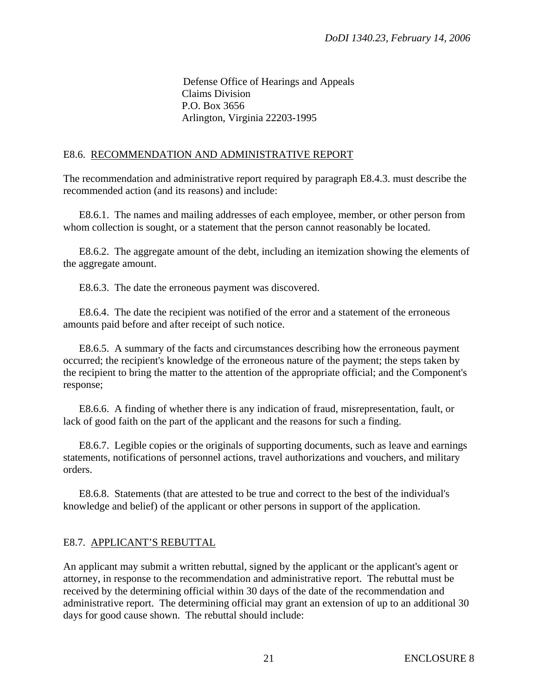Defense Office of Hearings and Appeals Claims Division P.O. Box 3656 Arlington, Virginia 22203-1995

## E8.6. RECOMMENDATION AND ADMINISTRATIVE REPORT

The recommendation and administrative report required by paragraph E8.4.3. must describe the recommended action (and its reasons) and include:

 E8.6.1. The names and mailing addresses of each employee, member, or other person from whom collection is sought, or a statement that the person cannot reasonably be located.

 E8.6.2. The aggregate amount of the debt, including an itemization showing the elements of the aggregate amount.

E8.6.3. The date the erroneous payment was discovered.

 E8.6.4. The date the recipient was notified of the error and a statement of the erroneous amounts paid before and after receipt of such notice.

 E8.6.5. A summary of the facts and circumstances describing how the erroneous payment occurred; the recipient's knowledge of the erroneous nature of the payment; the steps taken by the recipient to bring the matter to the attention of the appropriate official; and the Component's response;

 E8.6.6. A finding of whether there is any indication of fraud, misrepresentation, fault, or lack of good faith on the part of the applicant and the reasons for such a finding.

 E8.6.7. Legible copies or the originals of supporting documents, such as leave and earnings statements, notifications of personnel actions, travel authorizations and vouchers, and military orders.

 E8.6.8. Statements (that are attested to be true and correct to the best of the individual's knowledge and belief) of the applicant or other persons in support of the application.

# E8.7. APPLICANT'S REBUTTAL

An applicant may submit a written rebuttal, signed by the applicant or the applicant's agent or attorney, in response to the recommendation and administrative report. The rebuttal must be received by the determining official within 30 days of the date of the recommendation and administrative report. The determining official may grant an extension of up to an additional 30 days for good cause shown. The rebuttal should include: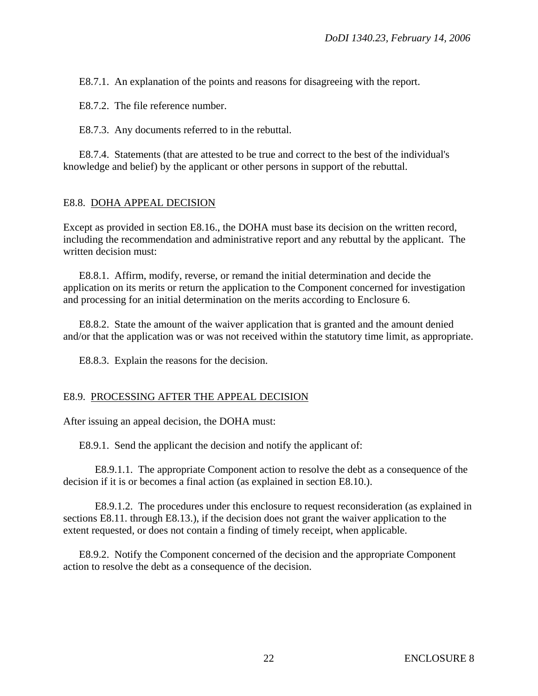E8.7.1. An explanation of the points and reasons for disagreeing with the report.

E8.7.2. The file reference number.

E8.7.3. Any documents referred to in the rebuttal.

 E8.7.4. Statements (that are attested to be true and correct to the best of the individual's knowledge and belief) by the applicant or other persons in support of the rebuttal.

#### E8.8. DOHA APPEAL DECISION

Except as provided in section E8.16., the DOHA must base its decision on the written record, including the recommendation and administrative report and any rebuttal by the applicant. The written decision must:

 E8.8.1. Affirm, modify, reverse, or remand the initial determination and decide the application on its merits or return the application to the Component concerned for investigation and processing for an initial determination on the merits according to Enclosure 6.

 E8.8.2. State the amount of the waiver application that is granted and the amount denied and/or that the application was or was not received within the statutory time limit, as appropriate.

E8.8.3. Explain the reasons for the decision.

#### E8.9. PROCESSING AFTER THE APPEAL DECISION

After issuing an appeal decision, the DOHA must:

E8.9.1. Send the applicant the decision and notify the applicant of:

 E8.9.1.1. The appropriate Component action to resolve the debt as a consequence of the decision if it is or becomes a final action (as explained in section E8.10.).

 E8.9.1.2. The procedures under this enclosure to request reconsideration (as explained in sections E8.11. through E8.13.), if the decision does not grant the waiver application to the extent requested, or does not contain a finding of timely receipt, when applicable.

 E8.9.2. Notify the Component concerned of the decision and the appropriate Component action to resolve the debt as a consequence of the decision.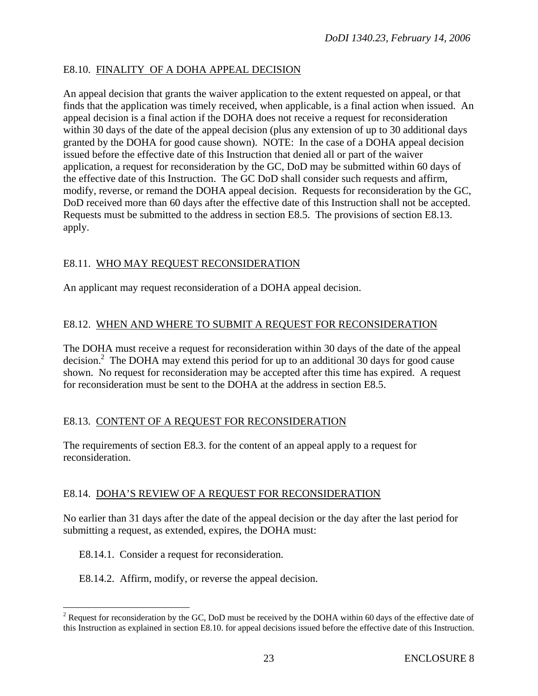## E8.10. FINALITY OF A DOHA APPEAL DECISION

An appeal decision that grants the waiver application to the extent requested on appeal, or that finds that the application was timely received, when applicable, is a final action when issued. An appeal decision is a final action if the DOHA does not receive a request for reconsideration within 30 days of the date of the appeal decision (plus any extension of up to 30 additional days granted by the DOHA for good cause shown). NOTE: In the case of a DOHA appeal decision issued before the effective date of this Instruction that denied all or part of the waiver application, a request for reconsideration by the GC, DoD may be submitted within 60 days of the effective date of this Instruction. The GC DoD shall consider such requests and affirm, modify, reverse, or remand the DOHA appeal decision. Requests for reconsideration by the GC, DoD received more than 60 days after the effective date of this Instruction shall not be accepted. Requests must be submitted to the address in section E8.5. The provisions of section E8.13. apply.

# E8.11. WHO MAY REQUEST RECONSIDERATION

An applicant may request reconsideration of a DOHA appeal decision.

# E8.12. WHEN AND WHERE TO SUBMIT A REQUEST FOR RECONSIDERATION

The DOHA must receive a request for reconsideration within 30 days of the date of the appeal decision.<sup>2</sup> The DOHA may extend this period for up to an additional 30 days for good cause shown. No request for reconsideration may be accepted after this time has expired. A request for reconsideration must be sent to the DOHA at the address in section E8.5.

# E8.13. CONTENT OF A REQUEST FOR RECONSIDERATION

The requirements of section E8.3. for the content of an appeal apply to a request for reconsideration.

# E8.14. DOHA'S REVIEW OF A REQUEST FOR RECONSIDERATION

No earlier than 31 days after the date of the appeal decision or the day after the last period for submitting a request, as extended, expires, the DOHA must:

E8.14.1. Consider a request for reconsideration.

 $\overline{a}$ 

E8.14.2. Affirm, modify, or reverse the appeal decision.

<sup>&</sup>lt;sup>2</sup> Request for reconsideration by the GC, DoD must be received by the DOHA within 60 days of the effective date of this Instruction as explained in section E8.10. for appeal decisions issued before the effective date of this Instruction.